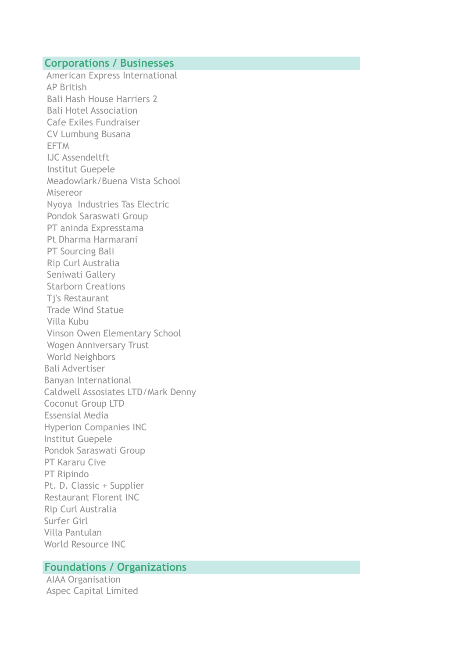### **Corporations / Businesses**

 American Express International AP British Bali Hash House Harriers 2 Bali Hotel Association Cafe Exiles Fundraiser CV Lumbung Busana **EFTM**  IJC Assendeltft Institut Guepele Meadowlark/Buena Vista School Misereor Nyoya Industries Tas Electric Pondok Saraswati Group PT aninda Expresstama Pt Dharma Harmarani PT Sourcing Bali Rip Curl Australia Seniwati Gallery Starborn Creations Tj's Restaurant Trade Wind Statue Villa Kubu Vinson Owen Elementary School Wogen Anniversary Trust World Neighbors Bali Advertiser Banyan International Caldwell Assosiates LTD/Mark Denny Coconut Group LTD Essensial Media Hyperion Companies INC Institut Guepele Pondok Saraswati Group PT Kararu Cive PT Ripindo Pt. D. Classic + Supplier Restaurant Florent INC Rip Curl Australia Surfer Girl Villa Pantulan World Resource INC

### **Foundations / Organizations**

 AIAA Organisation Aspec Capital Limited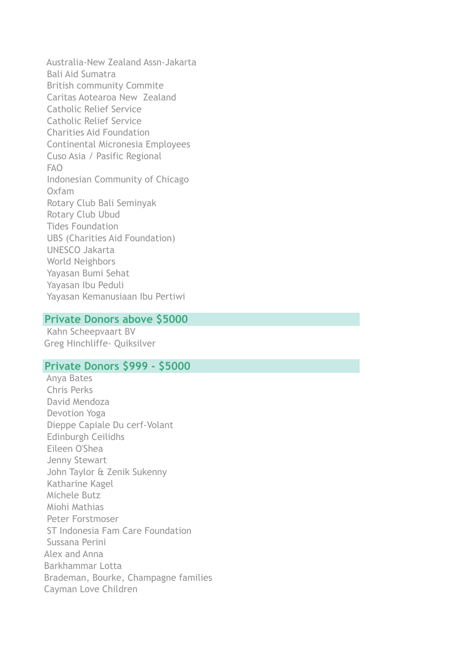Australia-New Zealand Assn-Jakarta Bali Aid Sumatra British community Commite Caritas Aotearoa New Zealand Catholic Relief Service Catholic Relief Service Charities Aid Foundation Continental Micronesia Employees Cuso Asia / Pasific Regional FAO Indonesian Community of Chicago Oxfam Rotary Club Bali Seminyak Rotary Club Ubud Tides Foundation UBS (Charities Aid Foundation) UNESCO Jakarta World Neighbors Yayasan Bumi Sehat Yayasan Ibu Peduli Yayasan Kemanusiaan Ibu Pertiwi

#### **Private Donors above \$5000**

 Kahn Scheepvaart BV Greg Hinchliffe- Quiksilver

## **Private Donors \$999 - \$5000**

 Anya Bates Chris Perks David Mendoza Devotion Yoga Dieppe Capiale Du cerf-Volant Edinburgh Ceilidhs Eileen O'Shea Jenny Stewart John Taylor & Zenik Sukenny Katharine Kagel Michele Butz Miohi Mathias Peter Forstmoser ST Indonesia Fam Care Foundation Sussana Perini Alex and Anna Barkhammar Lotta Brademan, Bourke, Champagne families Cayman Love Children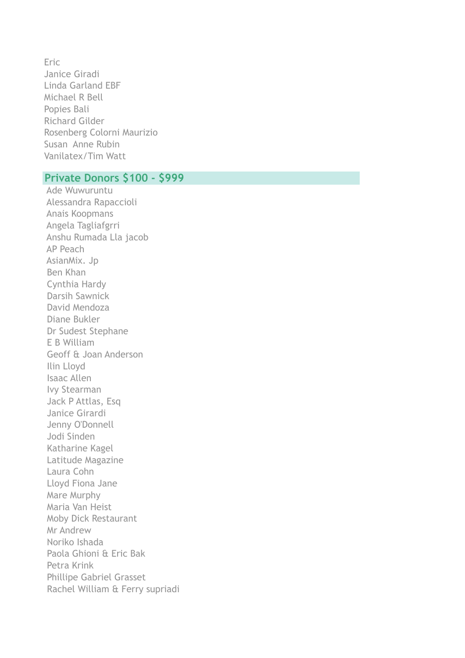Eric Janice Giradi Linda Garland EBF Michael R Bell Popies Bali Richard Gilder Rosenberg Colorni Maurizio Susan Anne Rubin Vanilatex/Tim Watt

# **Private Donors \$100 - \$999**

 Ade Wuwuruntu Alessandra Rapaccioli Anais Koopmans Angela Tagliafgrri Anshu Rumada Lla jacob AP Peach AsianMix. Jp Ben Khan Cynthia Hardy Darsih Sawnick David Mendoza Diane Bukler Dr Sudest Stephane E B William Geoff & Joan Anderson Ilin Lloyd Isaac Allen Ivy Stearman Jack P Attlas, Esq Janice Girardi Jenny O'Donnell Jodi Sinden Katharine Kagel Latitude Magazine Laura Cohn Lloyd Fiona Jane Mare Murphy Maria Van Heist Moby Dick Restaurant Mr Andrew Noriko Ishada Paola Ghioni & Eric Bak Petra Krink Phillipe Gabriel Grasset Rachel William & Ferry supriadi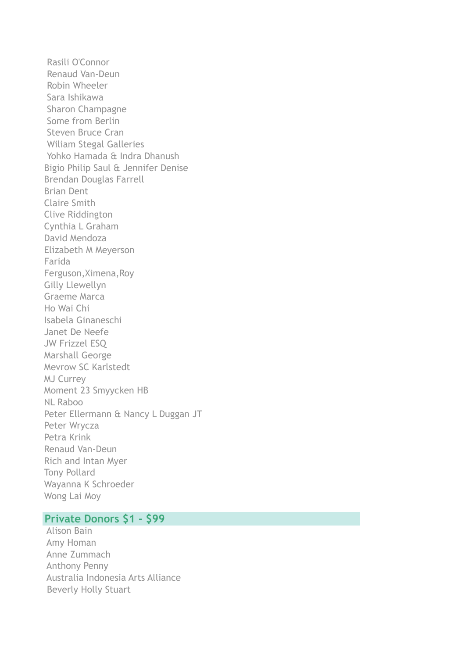Rasili O'Connor Renaud Van-Deun Robin Wheeler Sara Ishikawa Sharon Champagne Some from Berlin Steven Bruce Cran Wiliam Stegal Galleries Yohko Hamada & Indra Dhanush Bigio Philip Saul & Jennifer Denise Brendan Douglas Farrell Brian Dent Claire Smith Clive Riddington Cynthia L Graham David Mendoza Elizabeth M Meyerson Farida Ferguson,Ximena,Roy Gilly Llewellyn Graeme Marca Ho Wai Chi Isabela Ginaneschi Janet De Neefe JW Frizzel ESQ Marshall George Mevrow SC Karlstedt MJ Currey Moment 23 Smyycken HB NL Raboo Peter Ellermann & Nancy L Duggan JT Peter Wrycza Petra Krink Renaud Van-Deun Rich and Intan Myer Tony Pollard Wayanna K Schroeder Wong Lai Moy

#### **Private Donors \$1 - \$99**

 Alison Bain Amy Homan Anne Zummach Anthony Penny Australia Indonesia Arts Alliance Beverly Holly Stuart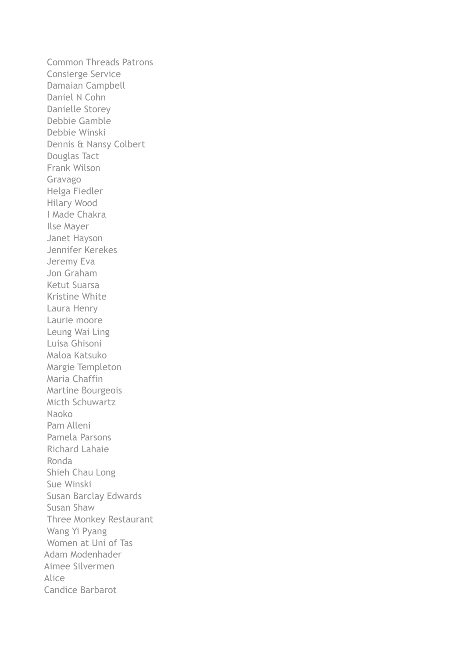Common Threads Patrons Consierge Service Damaian Campbell Daniel N Cohn Danielle Storey Debbie Gamble Debbie Winski Dennis & Nansy Colbert Douglas Tact Frank Wilson Gravago Helga Fiedler Hilary Wood I Made Chakra Ilse Mayer Janet Hayson Jennifer Kerekes Jeremy Eva Jon Graham Ketut Suarsa Kristine White Laura Henry Laurie moore Leung Wai Ling Luisa Ghisoni Maloa Katsuko Margie Templeton Maria Chaffin Martine Bourgeois Micth Schuwartz Naoko Pam Alleni Pamela Parsons Richard Lahaie Ronda Shieh Chau Long Sue Winski Susan Barclay Edwards Susan Shaw Three Monkey Restaurant Wang Yi Pyang Women at Uni of Tas Adam Modenhader Aimee Silvermen Alice Candice Barbarot